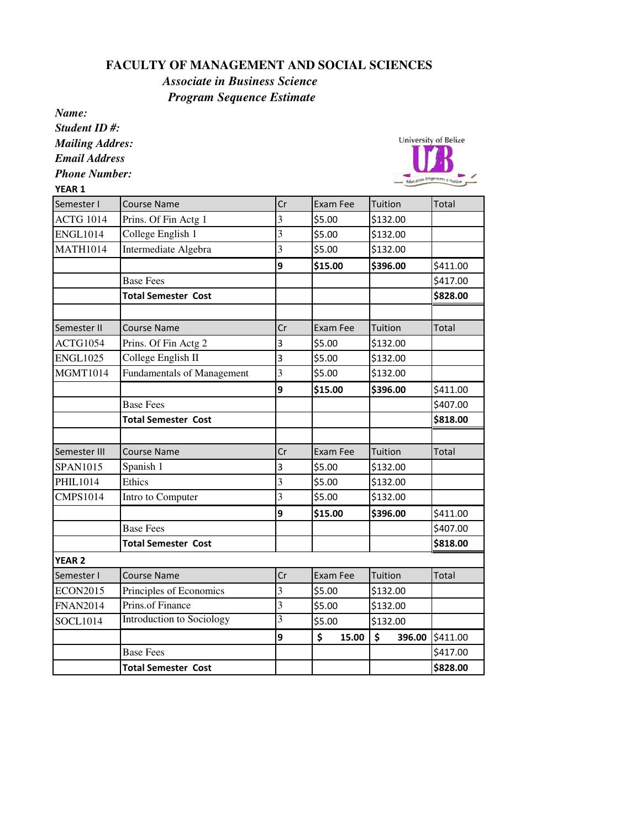## **FACULTY OF MANAGEMENT AND SOCIAL SCIENCES**

## *Associate in Business Science Program Sequence Estimate*

*Name: Student ID #: Mailing Addres: Email Address Phone Number:* VEAD 1



| YEAK 1           |                                   |                         |             |              |              |
|------------------|-----------------------------------|-------------------------|-------------|--------------|--------------|
| Semester I       | <b>Course Name</b>                | Cr                      | Exam Fee    | Tuition      | Total        |
| <b>ACTG 1014</b> | Prins. Of Fin Actg 1              | 3                       | \$5.00      | \$132.00     |              |
| <b>ENGL1014</b>  | College English 1                 | 3                       | \$5.00      | \$132.00     |              |
| <b>MATH1014</b>  | Intermediate Algebra              | 3                       | \$5.00      | \$132.00     |              |
|                  |                                   | 9                       | \$15.00     | \$396.00     | \$411.00     |
|                  | <b>Base Fees</b>                  |                         |             |              | \$417.00     |
|                  | <b>Total Semester Cost</b>        |                         |             |              | \$828.00     |
|                  |                                   |                         |             |              |              |
| Semester II      | Course Name                       | Cr                      | Exam Fee    | Tuition      | <b>Total</b> |
| ACTG1054         | Prins. Of Fin Actg 2              | 3                       | \$5.00      | \$132.00     |              |
| <b>ENGL1025</b>  | College English II                | 3                       | \$5.00      | \$132.00     |              |
| <b>MGMT1014</b>  | <b>Fundamentals of Management</b> | 3                       | \$5.00      | \$132.00     |              |
|                  |                                   | 9                       | \$15.00     | \$396.00     | \$411.00     |
|                  | <b>Base Fees</b>                  |                         |             |              | \$407.00     |
|                  | <b>Total Semester Cost</b>        |                         |             |              | \$818.00     |
|                  |                                   |                         |             |              |              |
| Semester III     | <b>Course Name</b>                | Cr                      | Exam Fee    | Tuition      | <b>Total</b> |
| <b>SPAN1015</b>  | Spanish 1                         | $\overline{\mathbf{3}}$ | \$5.00      | \$132.00     |              |
| <b>PHIL1014</b>  | Ethics                            | 3                       | \$5.00      | \$132.00     |              |
| <b>CMPS1014</b>  | Intro to Computer                 | 3                       | \$5.00      | \$132.00     |              |
|                  |                                   | 9                       | \$15.00     | \$396.00     | \$411.00     |
|                  | <b>Base Fees</b>                  |                         |             |              | \$407.00     |
|                  | <b>Total Semester Cost</b>        |                         |             |              | \$818.00     |
| <b>YEAR 2</b>    |                                   |                         |             |              |              |
| Semester I       | <b>Course Name</b>                | Cr                      | Exam Fee    | Tuition      | <b>Total</b> |
| <b>ECON2015</b>  | Principles of Economics           | $\overline{3}$          | \$5.00      | \$132.00     |              |
| <b>FNAN2014</b>  | Prins.of Finance                  | 3                       | \$5.00      | \$132.00     |              |
| <b>SOCL1014</b>  | Introduction to Sociology         | 3                       | \$5.00      | \$132.00     |              |
|                  |                                   | 9                       | \$<br>15.00 | \$<br>396.00 | \$411.00     |
|                  | <b>Base Fees</b>                  |                         |             |              | \$417.00     |
|                  | <b>Total Semester Cost</b>        |                         |             |              | \$828.00     |